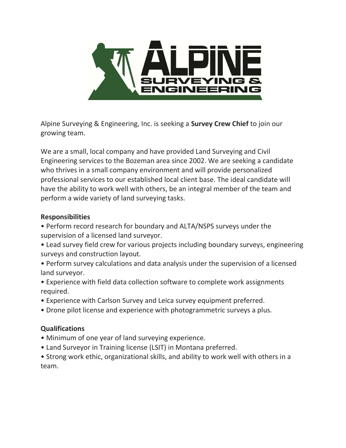

Alpine Surveying & Engineering, Inc. is seeking a **Survey Crew Chief** to join our growing team.

We are a small, local company and have provided Land Surveying and Civil Engineering services to the Bozeman area since 2002. We are seeking a candidate who thrives in a small company environment and will provide personalized professional services to our established local client base. The ideal candidate will have the ability to work well with others, be an integral member of the team and perform a wide variety of land surveying tasks.

## Responsibilities

- Perform record research for boundary and ALTA/NSPS surveys under the supervision of a licensed land surveyor.
- Lead survey field crew for various projects including boundary surveys, engineering surveys and construction layout.
- Perform survey calculations and data analysis under the supervision of a licensed land surveyor.
- Experience with field data collection software to complete work assignments required.
- Experience with Carlson Survey and Leica survey equipment preferred.
- Drone pilot license and experience with photogrammetric surveys a plus.

## Qualifications

- Minimum of one year of land surveying experience.
- Land Surveyor in Training license (LSIT) in Montana preferred.

• Strong work ethic, organizational skills, and ability to work well with others in a team.